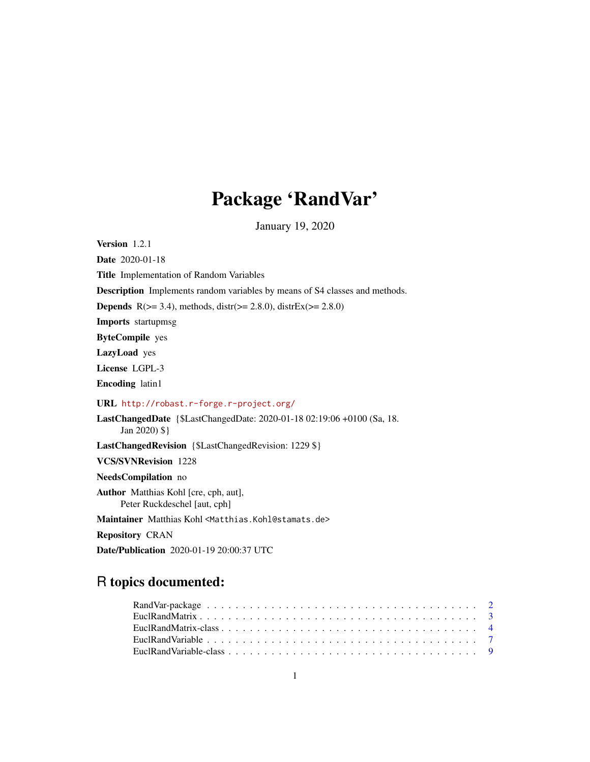# Package 'RandVar'

January 19, 2020

<span id="page-0-0"></span>Version 1.2.1

Date 2020-01-18

Title Implementation of Random Variables

Description Implements random variables by means of S4 classes and methods.

**Depends** R( $>= 3.4$ ), methods, distr( $>= 2.8.0$ ), distrEx( $>= 2.8.0$ )

Imports startupmsg

ByteCompile yes

LazyLoad yes

License LGPL-3

Encoding latin1

URL <http://robast.r-forge.r-project.org/>

LastChangedDate {\$LastChangedDate: 2020-01-18 02:19:06 +0100 (Sa, 18. Jan 2020) \$}

LastChangedRevision {\$LastChangedRevision: 1229 \$}

VCS/SVNRevision 1228

NeedsCompilation no

Author Matthias Kohl [cre, cph, aut], Peter Ruckdeschel [aut, cph]

Maintainer Matthias Kohl <Matthias.Kohl@stamats.de>

Repository CRAN

Date/Publication 2020-01-19 20:00:37 UTC

# R topics documented: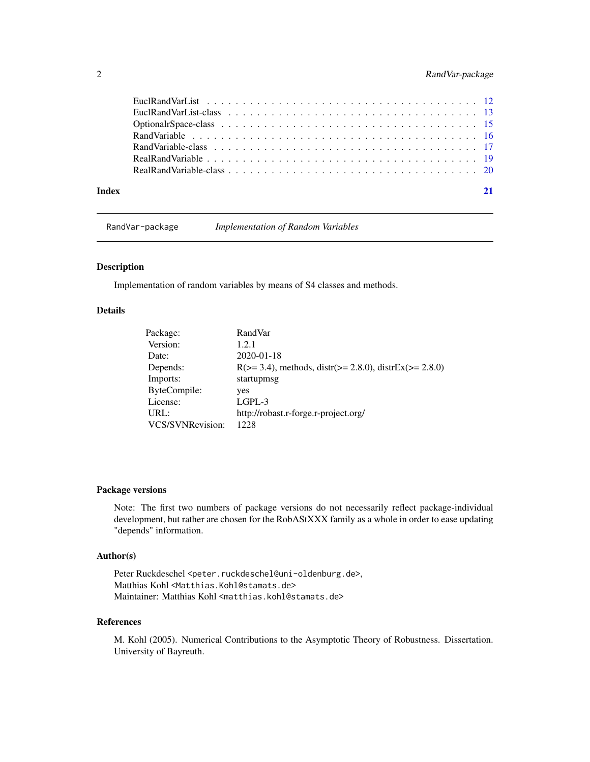# <span id="page-1-0"></span>2 RandVar-package

| Index |  |
|-------|--|

RandVar-package *Implementation of Random Variables*

# Description

Implementation of random variables by means of S4 classes and methods.

# Details

| Package:         | RandVar                                                           |
|------------------|-------------------------------------------------------------------|
| Version:         | 1.2.1                                                             |
| Date:            | 2020-01-18                                                        |
| Depends:         | $R(>= 3.4)$ , methods, distr( $>= 2.8.0$ ), distrEx( $>= 2.8.0$ ) |
| Imports:         | startupmsg                                                        |
| ByteCompile:     | yes                                                               |
| License:         | $LGPL-3$                                                          |
| URL:             | http://robast.r-forge.r-project.org/                              |
| VCS/SVNRevision: | 1228                                                              |
|                  |                                                                   |

#### Package versions

Note: The first two numbers of package versions do not necessarily reflect package-individual development, but rather are chosen for the RobAStXXX family as a whole in order to ease updating "depends" information.

# Author(s)

Peter Ruckdeschel <peter.ruckdeschel@uni-oldenburg.de>, Matthias Kohl <Matthias.Kohl@stamats.de> Maintainer: Matthias Kohl <matthias.kohl@stamats.de>

### References

M. Kohl (2005). Numerical Contributions to the Asymptotic Theory of Robustness. Dissertation. University of Bayreuth.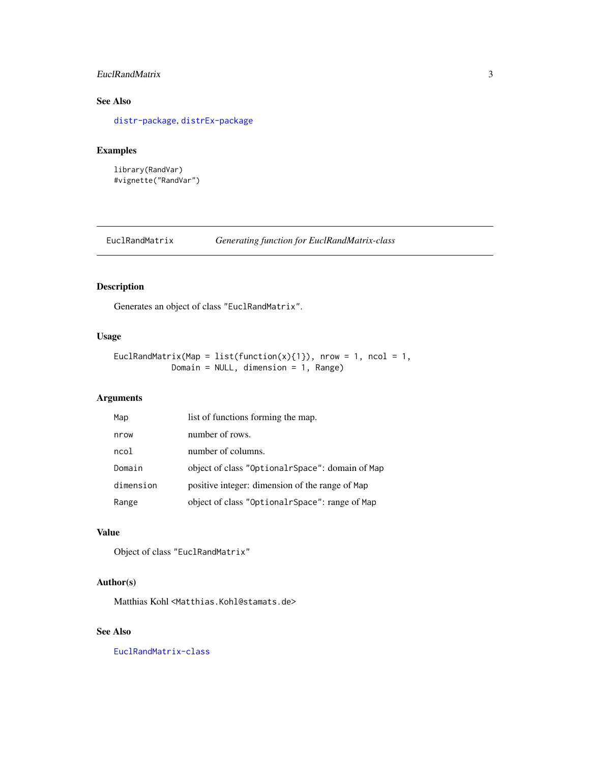# <span id="page-2-0"></span>EuclRandMatrix 3

# See Also

[distr-package](#page-0-0), [distrEx-package](#page-0-0)

# Examples

library(RandVar) #vignette("RandVar")

<span id="page-2-1"></span>EuclRandMatrix *Generating function for EuclRandMatrix-class*

# Description

Generates an object of class "EuclRandMatrix".

# Usage

```
EuclRandMatrix(Map = list(function(x){1}), nrow = 1, ncol = 1,
            Domain = NULL, dimension = 1, Range)
```
# Arguments

| Map       | list of functions forming the map.              |
|-----------|-------------------------------------------------|
| nrow      | number of rows.                                 |
| ncol      | number of columns.                              |
| Domain    | object of class "OptionalrSpace": domain of Map |
| dimension | positive integer: dimension of the range of Map |
| Range     | object of class "OptionalrSpace": range of Map  |

# Value

Object of class "EuclRandMatrix"

# Author(s)

Matthias Kohl <Matthias.Kohl@stamats.de>

# See Also

[EuclRandMatrix-class](#page-3-1)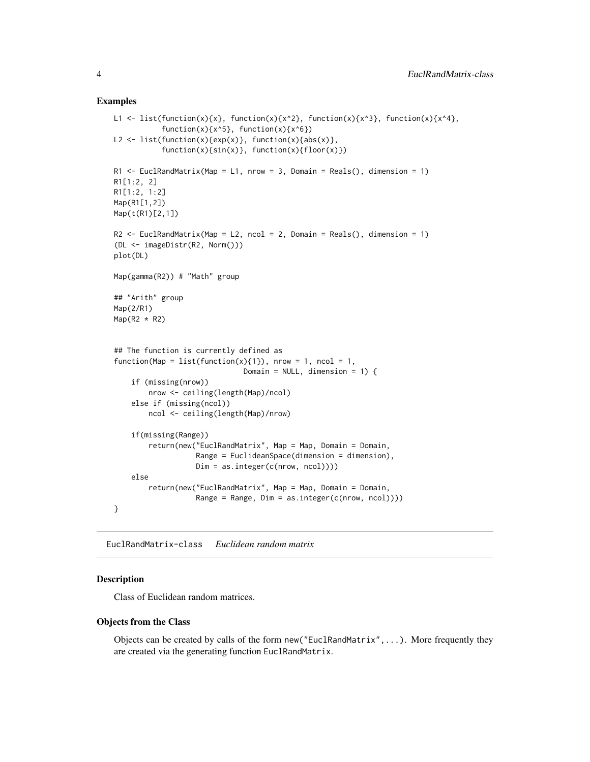#### Examples

```
L1 <- list(function(x){x}, function(x){x^2}, function(x){x^3}, function(x){x^4},
           function(x)\{x^5\}, function(x)\{x^6\})
L2 <- list(function(x){exp(x)}, function(x){abs(x)},
           function(x){sin(x)}, function(x){floor(x)})
R1 \le EuclRandMatrix(Map = L1, nrow = 3, Domain = Reals(), dimension = 1)
R1[1:2, 2]
R1[1:2, 1:2]
Map(R1[1,2])
Map(t(R1)[2,1])
R2 \le EuclRandMatrix(Map = L2, ncol = 2, Domain = Reals(), dimension = 1)
(DL <- imageDistr(R2, Norm()))
plot(DL)
Map(gamma(R2)) # "Math" group
## "Arith" group
Map(2/R1)
Map(R2 * R2)## The function is currently defined as
function(Map = list(function(x){1}), nrow = 1, ncol = 1,
                              Domain = NULL, dimension = 1) {
    if (missing(nrow))
        nrow <- ceiling(length(Map)/ncol)
    else if (missing(ncol))
        ncol <- ceiling(length(Map)/nrow)
    if(missing(Range))
        return(new("EuclRandMatrix", Map = Map, Domain = Domain,
                   Range = EuclideanSpace(dimension = dimension),
                   Dim = as.integer(c(nrow, ncol))))
    else
        return(new("EuclRandMatrix", Map = Map, Domain = Domain,
                   Range = Range, Dim = as.integer(c(nrow, ncol))))
}
```
<span id="page-3-1"></span>EuclRandMatrix-class *Euclidean random matrix*

# Description

Class of Euclidean random matrices.

#### Objects from the Class

Objects can be created by calls of the form new("EuclRandMatrix",...). More frequently they are created via the generating function EuclRandMatrix.

<span id="page-3-0"></span>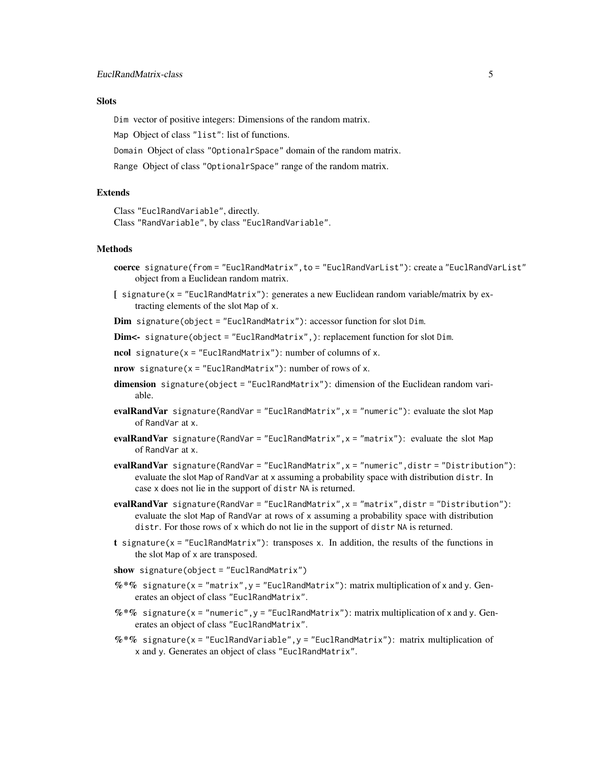# **Slots**

Dim vector of positive integers: Dimensions of the random matrix.

Map Object of class "list": list of functions.

Domain Object of class "OptionalrSpace" domain of the random matrix.

Range Object of class "OptionalrSpace" range of the random matrix.

### **Extends**

Class "EuclRandVariable", directly. Class "RandVariable", by class "EuclRandVariable".

#### Methods

- coerce signature(from = "EuclRandMatrix",to = "EuclRandVarList"): create a "EuclRandVarList" object from a Euclidean random matrix.
- [ signature(x = "EuclRandMatrix"): generates a new Euclidean random variable/matrix by extracting elements of the slot Map of x.
- Dim signature(object = "EuclRandMatrix"): accessor function for slot Dim.

Dim<- signature(object = "EuclRandMatrix",): replacement function for slot Dim.

ncol signature( $x =$  "EuclRandMatrix"): number of columns of  $x$ .

 $nrow$  signature( $x =$  "EuclRandMatrix"): number of rows of x.

- dimension signature(object = "EuclRandMatrix"): dimension of the Euclidean random variable.
- evalRandVar signature(RandVar = "EuclRandMatrix", x = "numeric"): evaluate the slot Map of RandVar at x.
- evalRandVar signature(RandVar = "EuclRandMatrix", x = "matrix"): evaluate the slot Map of RandVar at x.
- evalRandVar signature(RandVar = "EuclRandMatrix",x = "numeric",distr = "Distribution"): evaluate the slot Map of RandVar at x assuming a probability space with distribution distr. In case x does not lie in the support of distr NA is returned.
- evalRandVar signature(RandVar = "EuclRandMatrix", x = "matrix", distr = "Distribution"): evaluate the slot Map of RandVar at rows of x assuming a probability space with distribution distr. For those rows of x which do not lie in the support of distr NA is returned.
- t signature(x = "EuclRandMatrix"): transposes x. In addition, the results of the functions in the slot Map of x are transposed.
- show signature(object = "EuclRandMatrix")
- $\%*\%$  signature(x = "matrix", y = "EuclRandMatrix"): matrix multiplication of x and y. Generates an object of class "EuclRandMatrix".
- $\%*\%$  signature(x = "numeric", y = "EuclRandMatrix"): matrix multiplication of x and y. Generates an object of class "EuclRandMatrix".
- $%$  \*% signature(x = "EuclRandVariable", y = "EuclRandMatrix"): matrix multiplication of x and y. Generates an object of class "EuclRandMatrix".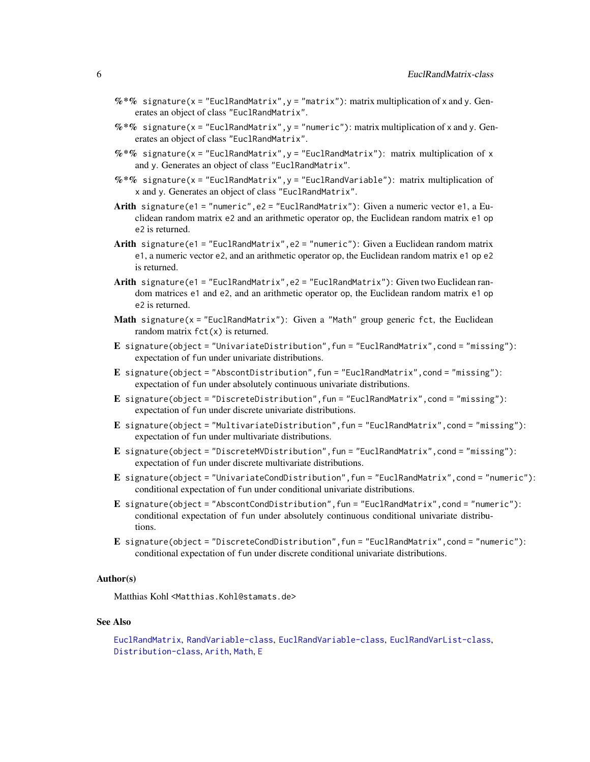- <span id="page-5-0"></span> $\%*\%$  signature(x = "EuclRandMatrix", y = "matrix"): matrix multiplication of x and y. Generates an object of class "EuclRandMatrix".
- $\%*\%$  signature(x = "EuclRandMatrix", y = "numeric"): matrix multiplication of x and y. Generates an object of class "EuclRandMatrix".
- $%$  \*% signature(x = "EuclRandMatrix", y = "EuclRandMatrix"): matrix multiplication of x and y. Generates an object of class "EuclRandMatrix".
- $%$  \*% signature(x = "EuclRandMatrix", y = "EuclRandVariable"): matrix multiplication of x and y. Generates an object of class "EuclRandMatrix".
- Arith signature(e1 = "numeric", e2 = "EuclRandMatrix"): Given a numeric vector e1, a Euclidean random matrix e2 and an arithmetic operator op, the Euclidean random matrix e1 op e2 is returned.
- Arith signature(e1 = "EuclRandMatrix", e2 = "numeric"): Given a Euclidean random matrix e1, a numeric vector e2, and an arithmetic operator op, the Euclidean random matrix e1 op e2 is returned.
- Arith signature(e1 = "EuclRandMatrix", e2 = "EuclRandMatrix"): Given two Euclidean random matrices e1 and e2, and an arithmetic operator op, the Euclidean random matrix e1 op e2 is returned.
- Math signature(x = "EuclRandMatrix"): Given a "Math" group generic fct, the Euclidean random matrix  $fct(x)$  is returned.
- E signature(object = "UnivariateDistribution",fun = "EuclRandMatrix",cond = "missing"): expectation of fun under univariate distributions.
- E signature(object = "AbscontDistribution",fun = "EuclRandMatrix",cond = "missing"): expectation of fun under absolutely continuous univariate distributions.
- E signature(object = "DiscreteDistribution", fun = "EuclRandMatrix", cond = "missing"): expectation of fun under discrete univariate distributions.
- E signature(object = "MultivariateDistribution",fun = "EuclRandMatrix",cond = "missing"): expectation of fun under multivariate distributions.
- E signature(object = "DiscreteMVDistribution", fun = "EuclRandMatrix", cond = "missing"): expectation of fun under discrete multivariate distributions.
- E signature(object = "UnivariateCondDistribution",fun = "EuclRandMatrix",cond = "numeric"): conditional expectation of fun under conditional univariate distributions.
- E signature(object = "AbscontCondDistribution", fun = "EuclRandMatrix", cond = "numeric"): conditional expectation of fun under absolutely continuous conditional univariate distributions.
- E signature(object = "DiscreteCondDistribution",fun = "EuclRandMatrix",cond = "numeric"): conditional expectation of fun under discrete conditional univariate distributions.

#### Author(s)

Matthias Kohl <Matthias.Kohl@stamats.de>

#### See Also

```
EuclRandMatrix, RandVariable-class, EuclRandVariable-class, EuclRandVarList-class,
Distribution-class, Arith, Math, E
```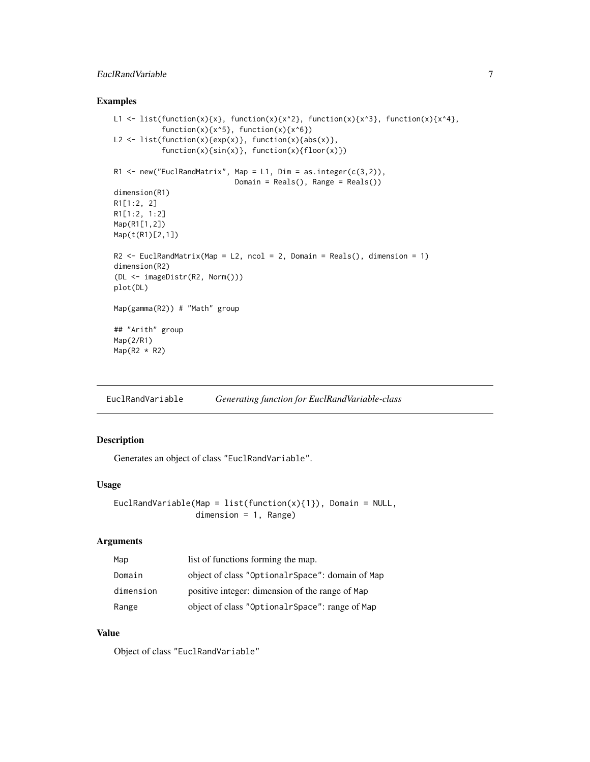# <span id="page-6-0"></span>EuclRandVariable 7

### Examples

```
L1 <- list(function(x){x}, function(x){x^2}, function(x){x^3}, function(x){x^4},
           function(x)\{x^5\}, function(x)\{x^6\})
L2 \leftarrow list(function(x){exp(x)}, function(x){abs(x)},
           function(x){sin(x)}, function(x){floor(x)})
R1 \leq new("EuclRandMatrix", Map = L1, Dim = as.integer(c(3,2)),
                             Domain = Reals(), Range = Reals())
dimension(R1)
R1[1:2, 2]
R1[1:2, 1:2]
Map(R1[1,2])
Map(t(R1)[2,1])
R2 \le EuclRandMatrix(Map = L2, ncol = 2, Domain = Reals(), dimension = 1)
dimension(R2)
(DL <- imageDistr(R2, Norm()))
plot(DL)
Map(gamma(R2)) # "Math" group
## "Arith" group
Map(2/R1)
Map(R2 * R2)
```
<span id="page-6-1"></span>EuclRandVariable *Generating function for EuclRandVariable-class*

# Description

Generates an object of class "EuclRandVariable".

#### Usage

```
EuclRandVariable(Map = list(function(x){1}), Domain = NULL,
                 dimension = 1, Range)
```
# Arguments

| Map       | list of functions forming the map.              |
|-----------|-------------------------------------------------|
| Domain    | object of class "OptionalrSpace": domain of Map |
| dimension | positive integer: dimension of the range of Map |
| Range     | object of class "OptionalrSpace": range of Map  |

# Value

Object of class "EuclRandVariable"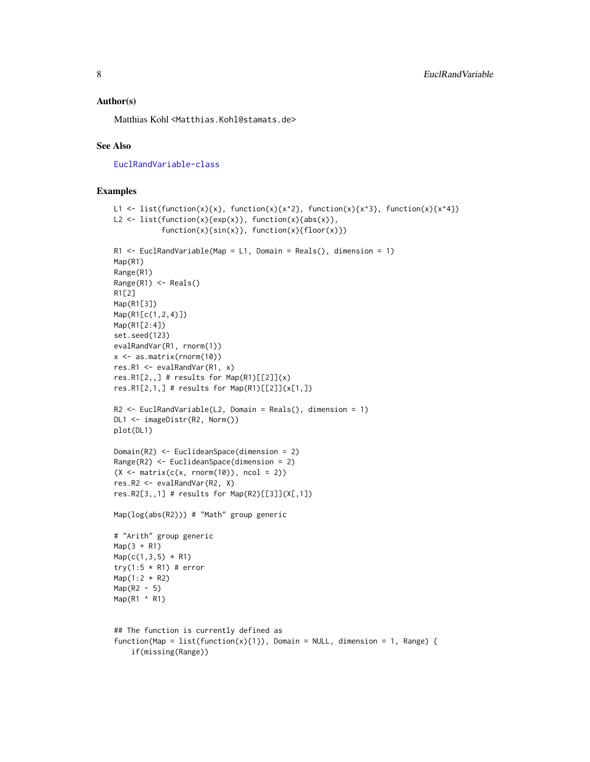### Author(s)

Matthias Kohl <Matthias.Kohl@stamats.de>

#### See Also

[EuclRandVariable-class](#page-8-1)

```
L1 <- list(function(x){x}, function(x){x^2}, function(x){x^3}, function(x){x^4})
L2 \leftarrow list(function(x){exp(x)}, function(x){abs(x)},
           function(x)\{sin(x)\}, function(x)\{floor(x)\})R1 \leq EuclRandVariable(Map = L1, Domain = Reals(), dimension = 1)
Map(R1)
Range(R1)
Range(R1) <- Reals()
R1[2]
Map(R1[3])
Map(R1[c(1,2,4)])
Map(R1[2:4])
set.seed(123)
evalRandVar(R1, rnorm(1))
x <- as.matrix(rnorm(10))
res.R1 <- evalRandVar(R1, x)
res.R1[2,,] # results for Map(R1)[[2]](x)res.R1[2,1,] # results for Map(R1)[2]](x[1,1)R2 <- EuclRandVariable(L2, Domain = Reals(), dimension = 1)
DL1 <- imageDistr(R2, Norm())
plot(DL1)
Domain(R2) <- EuclideanSpace(dimension = 2)
Range(R2) <- EuclideanSpace(dimension = 2)
(X \leq - matrix(c(x, rnorm(10)), ncol = 2))
res.R2 <- evalRandVar(R2, X)
res.R2[3,,1] # results for Map(R2)[[3]](X[,1])
Map(log(abs(R2))) # "Math" group generic
# "Arith" group generic
Map(3 + R1)Map(c(1, 3, 5) * R1)try(1:5 * R1) # error
Map(1:2 * R2)Map(R2 - 5)Map(R1 ^ R1)
## The function is currently defined as
function(Map = list(function(x){1}), Domain = NULL, dimension = 1, Range) {
    if(missing(Range))
```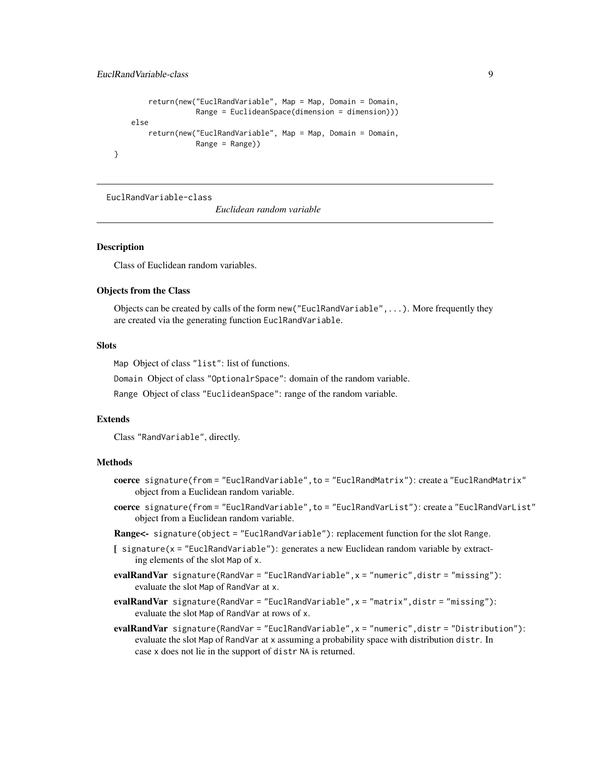```
return(new("EuclRandVariable", Map = Map, Domain = Domain,
               Range = EuclideanSpace(dimension = dimension)))
else
   return(new("EuclRandVariable", Map = Map, Domain = Domain,
               Range = Range))
```
<span id="page-8-1"></span>EuclRandVariable-class

*Euclidean random variable*

#### Description

}

Class of Euclidean random variables.

# Objects from the Class

Objects can be created by calls of the form new("EuclRandVariable",...). More frequently they are created via the generating function EuclRandVariable.

#### Slots

Map Object of class "list": list of functions.

Domain Object of class "OptionalrSpace": domain of the random variable.

Range Object of class "EuclideanSpace": range of the random variable.

### Extends

Class "RandVariable", directly.

#### Methods

- coerce signature(from = "EuclRandVariable", to = "EuclRandMatrix"): create a "EuclRandMatrix" object from a Euclidean random variable.
- coerce signature(from = "EuclRandVariable",to = "EuclRandVarList"): create a "EuclRandVarList" object from a Euclidean random variable.
- Range<- signature(object = "EuclRandVariable"): replacement function for the slot Range.
- [ signature(x = "EuclRandVariable"): generates a new Euclidean random variable by extracting elements of the slot Map of x.
- evalRandVar signature(RandVar = "EuclRandVariable", x = "numeric", distr = "missing"): evaluate the slot Map of RandVar at x.
- evalRandVar signature(RandVar = "EuclRandVariable", x = "matrix", distr = "missing"): evaluate the slot Map of RandVar at rows of x.
- evalRandVar signature(RandVar = "EuclRandVariable", x = "numeric", distr = "Distribution"): evaluate the slot Map of RandVar at x assuming a probability space with distribution distr. In case x does not lie in the support of distr NA is returned.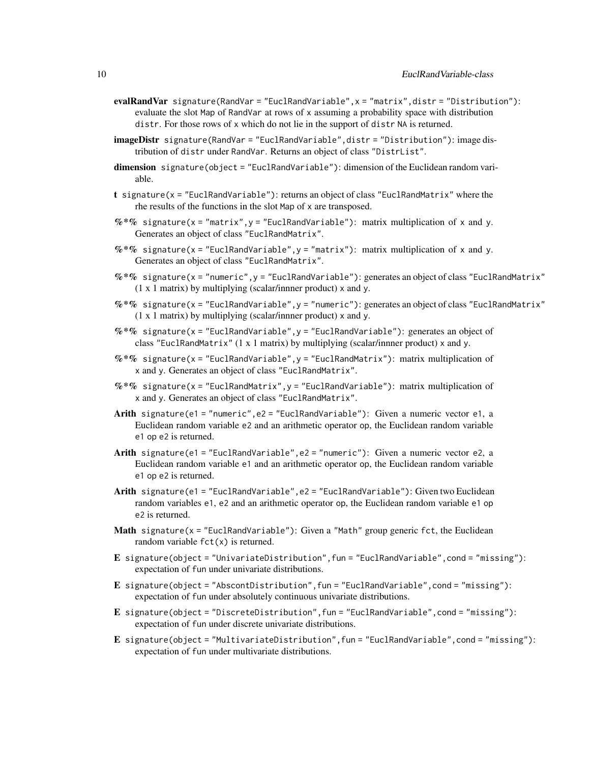- evalRandVar signature(RandVar = "EuclRandVariable", x = "matrix", distr = "Distribution"): evaluate the slot Map of RandVar at rows of x assuming a probability space with distribution distr. For those rows of x which do not lie in the support of distr NA is returned.
- imageDistr signature(RandVar = "EuclRandVariable", distr = "Distribution"): image distribution of distr under RandVar. Returns an object of class "DistrList".
- dimension signature(object = "EuclRandVariable"): dimension of the Euclidean random variable.
- t signature(x = "EuclRandVariable"): returns an object of class "EuclRandMatrix" where the rhe results of the functions in the slot Map of x are transposed.
- $%$  \*% signature(x = "matrix", y = "EuclRandVariable"): matrix multiplication of x and y. Generates an object of class "EuclRandMatrix".
- $%$  \*% signature(x = "EuclRandVariable", y = "matrix"): matrix multiplication of x and y. Generates an object of class "EuclRandMatrix".
- $\%*\%$  signature(x = "numeric",y = "EuclRandVariable"): generates an object of class "EuclRandMatrix" (1 x 1 matrix) by multiplying (scalar/innner product) x and y.
- $\%*\%$  signature(x = "EuclRandVariable", y = "numeric"): generates an object of class "EuclRandMatrix" (1 x 1 matrix) by multiplying (scalar/innner product) x and y.
- $%$  \*% signature(x = "EuclRandVariable", y = "EuclRandVariable"): generates an object of class "EuclRandMatrix" (1 x 1 matrix) by multiplying (scalar/innner product) x and y.
- $%$  \*% signature(x = "EuclRandVariable", y = "EuclRandMatrix"): matrix multiplication of x and y. Generates an object of class "EuclRandMatrix".
- $%$  \*% signature(x = "EuclRandMatrix", y = "EuclRandVariable"): matrix multiplication of x and y. Generates an object of class "EuclRandMatrix".
- Arith signature(e1 = "numeric", e2 = "EuclRandVariable"): Given a numeric vector e1, a Euclidean random variable e2 and an arithmetic operator op, the Euclidean random variable e1 op e2 is returned.
- Arith signature(e1 = "EuclRandVariable",e2 = "numeric"): Given a numeric vector e2, a Euclidean random variable e1 and an arithmetic operator op, the Euclidean random variable e1 op e2 is returned.
- Arith signature(e1 = "EuclRandVariable",e2 = "EuclRandVariable"): Given two Euclidean random variables e1, e2 and an arithmetic operator op, the Euclidean random variable e1 op e2 is returned.
- Math signature( $x =$  "EuclRandVariable"): Given a "Math" group generic fct, the Euclidean random variable  $fct(x)$  is returned.
- E signature(object = "UnivariateDistribution", fun = "EuclRandVariable", cond = "missing"): expectation of fun under univariate distributions.
- E signature(object = "AbscontDistribution",fun = "EuclRandVariable",cond = "missing"): expectation of fun under absolutely continuous univariate distributions.
- E signature(object = "DiscreteDistribution",fun = "EuclRandVariable",cond = "missing"): expectation of fun under discrete univariate distributions.
- E signature(object = "MultivariateDistribution",fun = "EuclRandVariable",cond = "missing"): expectation of fun under multivariate distributions.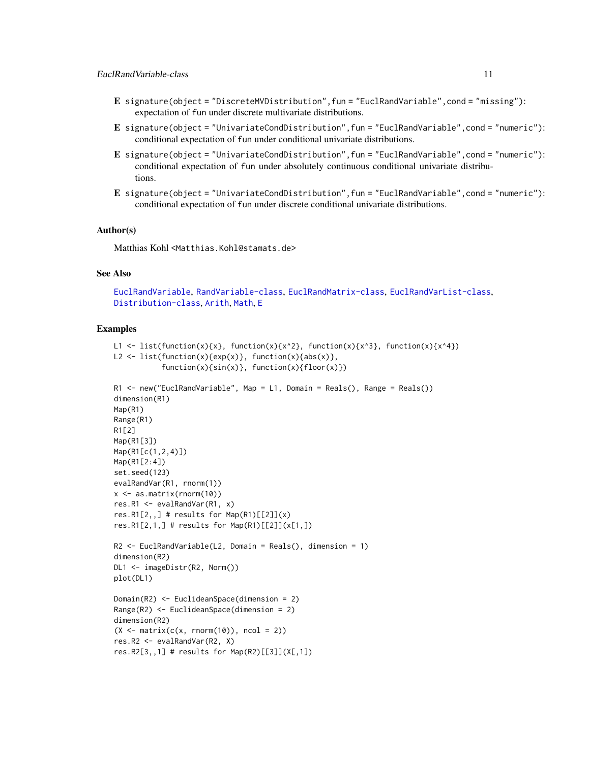- <span id="page-10-0"></span>E signature(object = "DiscreteMVDistribution",fun = "EuclRandVariable",cond = "missing"): expectation of fun under discrete multivariate distributions.
- E signature(object = "UnivariateCondDistribution",fun = "EuclRandVariable",cond = "numeric"): conditional expectation of fun under conditional univariate distributions.
- E signature(object = "UnivariateCondDistribution",fun = "EuclRandVariable",cond = "numeric"): conditional expectation of fun under absolutely continuous conditional univariate distributions.
- E signature(object = "UnivariateCondDistribution",fun = "EuclRandVariable",cond = "numeric"): conditional expectation of fun under discrete conditional univariate distributions.

#### Author(s)

Matthias Kohl <Matthias.Kohl@stamats.de>

# See Also

```
EuclRandVariable, RandVariable-class, EuclRandMatrix-class, EuclRandVarList-class,
Distribution-class, Arith, Math, E
```

```
L1 <- list(function(x){x}, function(x){x^2}, function(x){x^3}, function(x){x^4})
L2 <- list(function(x){exp(x)}, function(x){abs(x)},
           function(x)\{sin(x)\}, function(x)\{floor(x)\})
```

```
R1 <- new("EuclRandVariable", Map = L1, Domain = Reals(), Range = Reals())
dimension(R1)
Map(R1)
Range(R1)
R1[2]
Map(R1[3])
Map(R1[c(1,2,4)])
Map(R1[2:4])
set.seed(123)
evalRandVar(R1, rnorm(1))
x <- as.matrix(rnorm(10))
res.R1 <- evalRandVar(R1, x)
res.R1[2, 1] # results for Map(R1)[[2]](x)res.R1[2,1,] # results for Map(R1)[2]](x[1,])
R2 <- EuclRandVariable(L2, Domain = Reals(), dimension = 1)
dimension(R2)
DL1 <- imageDistr(R2, Norm())
plot(DL1)
Domain(R2) <- EuclideanSpace(dimension = 2)
Range(R2) <- EuclideanSpace(dimension = 2)
dimension(R2)
(X \leq - matrix(c(x, rnorm(10)), ncol = 2))
res.R2 <- evalRandVar(R2, X)
res.R2[3,,1] # results for Map(R2)[[3]](X[,1])
```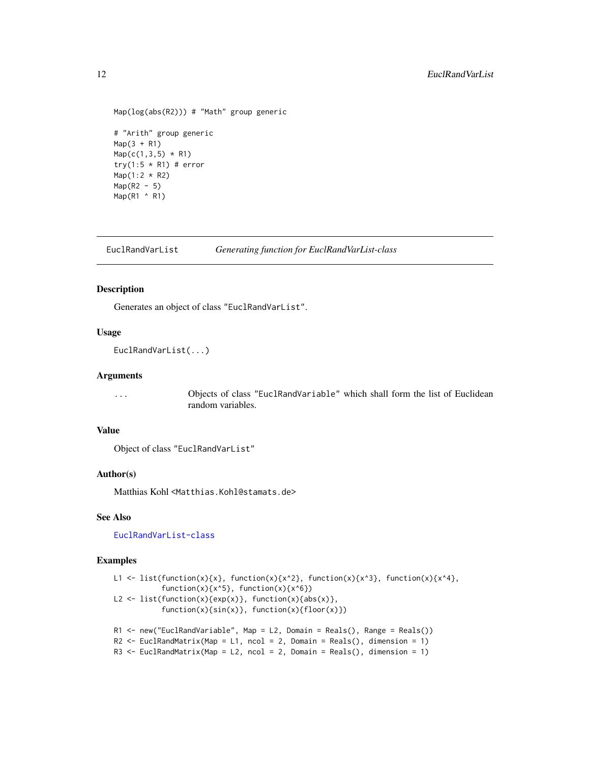```
Map(log(abs(R2))) # "Math" group generic
# "Arith" group generic
Map(3 + R1)Map(c(1, 3, 5) * R1)try(1:5 * R1) # error
Map(1:2 * R2)
Map(R2 - 5)Map(R1 ^ R1)
```
EuclRandVarList *Generating function for EuclRandVarList-class*

#### Description

Generates an object of class "EuclRandVarList".

# Usage

```
EuclRandVarList(...)
```
#### Arguments

... Objects of class "EuclRandVariable" which shall form the list of Euclidean random variables.

#### Value

Object of class "EuclRandVarList"

#### Author(s)

Matthias Kohl <Matthias.Kohl@stamats.de>

# See Also

[EuclRandVarList-class](#page-12-1)

```
L1 <- list(function(x){x}, function(x){x^2}, function(x){x^3}, function(x){x^4},
           function(x)\{x^5\}, function(x)\{x^6\})
L2 <- list(function(x){exp(x)}, function(x){abs(x)},
           function(x){sin(x)}, function(x){floor(x)})
R1 <- new("EuclRandVariable", Map = L2, Domain = Reals(), Range = Reals())
R2 \le EuclRandMatrix(Map = L1, ncol = 2, Domain = Reals(), dimension = 1)
R3 \leq EuclRandMatrix(Map = L2, ncol = 2, Domain = Reals(), dimension = 1)
```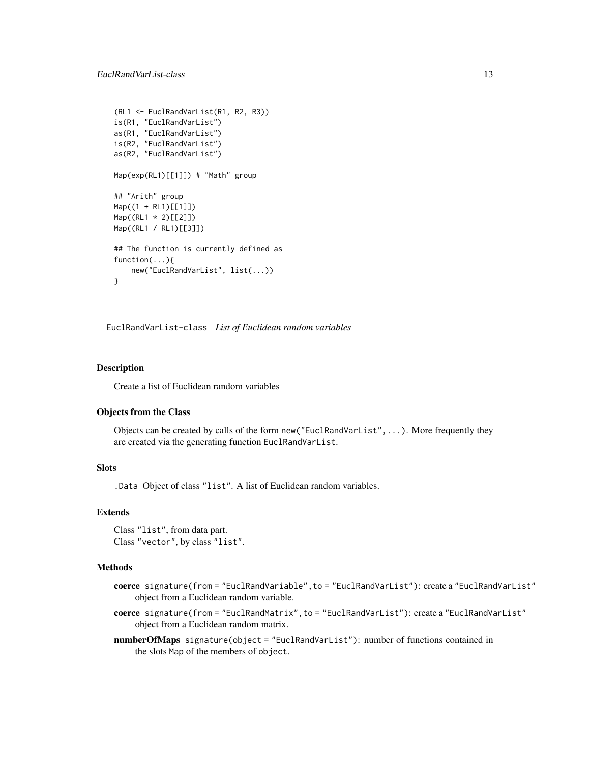```
(RL1 <- EuclRandVarList(R1, R2, R3))
is(R1, "EuclRandVarList")
as(R1, "EuclRandVarList")
is(R2, "EuclRandVarList")
as(R2, "EuclRandVarList")
Map(exp(RL1)[[1]]) # "Math" group
## "Arith" group
Map((1 + RL1)[[1]])
Map((RL1 * 2)[[2]])
Map((RL1 / RL1)[[3]])
## The function is currently defined as
function(...){
    new("EuclRandVarList", list(...))
}
```
<span id="page-12-1"></span>EuclRandVarList-class *List of Euclidean random variables*

#### Description

Create a list of Euclidean random variables

# Objects from the Class

Objects can be created by calls of the form new("EuclRandVarList",...). More frequently they are created via the generating function EuclRandVarList.

# **Slots**

.Data Object of class "list". A list of Euclidean random variables.

#### Extends

```
Class "list", from data part.
Class "vector", by class "list".
```
# Methods

- coerce signature(from = "EuclRandVariable",to = "EuclRandVarList"): create a "EuclRandVarList" object from a Euclidean random variable.
- coerce signature(from = "EuclRandMatrix",to = "EuclRandVarList"): create a "EuclRandVarList" object from a Euclidean random matrix.
- numberOfMaps signature(object = "EuclRandVarList"): number of functions contained in the slots Map of the members of object.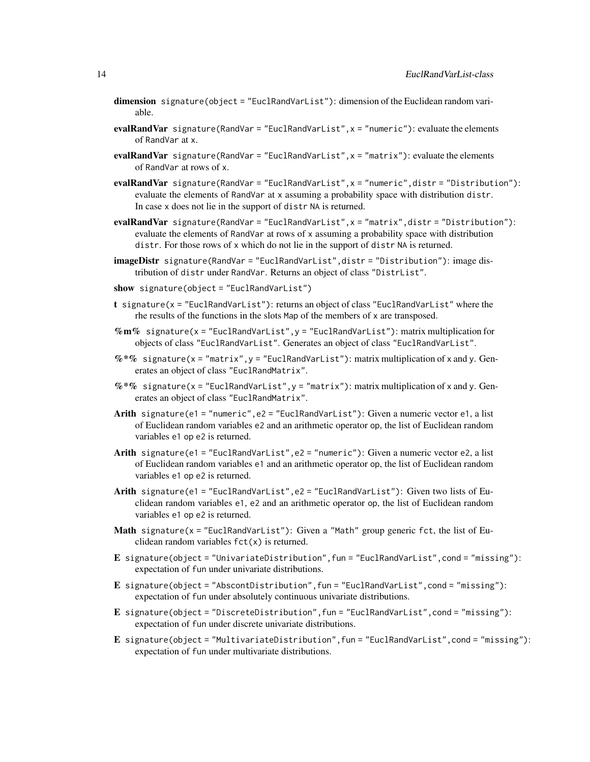- dimension signature(object = "EuclRandVarList"): dimension of the Euclidean random variable.
- evalRandVar signature(RandVar = "EuclRandVarList", $x =$  "numeric"): evaluate the elements of RandVar at x.
- evalRandVar signature(RandVar = "EuclRandVarList", x = "matrix"): evaluate the elements of RandVar at rows of x.
- evalRandVar signature(RandVar = "EuclRandVarList", x = "numeric", distr = "Distribution"): evaluate the elements of RandVar at x assuming a probability space with distribution distr. In case x does not lie in the support of distr NA is returned.
- evalRandVar signature(RandVar = "EuclRandVarList", x = "matrix", distr = "Distribution"): evaluate the elements of RandVar at rows of x assuming a probability space with distribution distr. For those rows of x which do not lie in the support of distr NA is returned.
- imageDistr signature(RandVar = "EuclRandVarList",distr = "Distribution"): image distribution of distr under RandVar. Returns an object of class "DistrList".
- show signature(object = "EuclRandVarList")
- t signature(x = "EuclRandVarList"): returns an object of class "EuclRandVarList" where the rhe results of the functions in the slots Map of the members of x are transposed.
- $\%$ m% signature(x = "EuclRandVarList", y = "EuclRandVarList"): matrix multiplication for objects of class "EuclRandVarList". Generates an object of class "EuclRandVarList".
- $\%*\%$  signature(x = "matrix", y = "EuclRandVarList"): matrix multiplication of x and y. Generates an object of class "EuclRandMatrix".
- %\*% signature(x = "EuclRandVarList", y = "matrix"): matrix multiplication of x and y. Generates an object of class "EuclRandMatrix".
- Arith signature(e1 = "numeric",e2 = "EuclRandVarList"): Given a numeric vector e1, a list of Euclidean random variables e2 and an arithmetic operator op, the list of Euclidean random variables e1 op e2 is returned.
- Arith signature(e1 = "EuclRandVarList", e2 = "numeric"): Given a numeric vector e2, a list of Euclidean random variables e1 and an arithmetic operator op, the list of Euclidean random variables e1 op e2 is returned.
- Arith signature(e1 = "EuclRandVarList", e2 = "EuclRandVarList"): Given two lists of Euclidean random variables e1, e2 and an arithmetic operator op, the list of Euclidean random variables e1 op e2 is returned.
- **Math** signature( $x =$  "EuclRandVarList"): Given a "Math" group generic fct, the list of Euclidean random variables  $fct(x)$  is returned.
- E signature(object = "UnivariateDistribution",fun = "EuclRandVarList",cond = "missing"): expectation of fun under univariate distributions.
- E signature(object = "AbscontDistribution", fun = "EuclRandVarList", cond = "missing"): expectation of fun under absolutely continuous univariate distributions.
- E signature(object = "DiscreteDistribution",fun = "EuclRandVarList",cond = "missing"): expectation of fun under discrete univariate distributions.
- E signature(object = "MultivariateDistribution",fun = "EuclRandVarList",cond = "missing"): expectation of fun under multivariate distributions.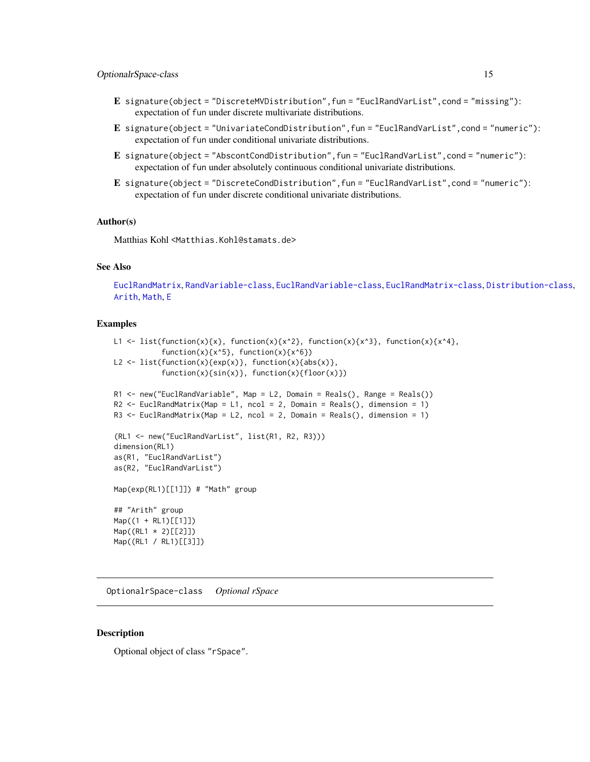- <span id="page-14-0"></span>E signature(object = "DiscreteMVDistribution",fun = "EuclRandVarList",cond = "missing"): expectation of fun under discrete multivariate distributions.
- E signature(object = "UnivariateCondDistribution",fun = "EuclRandVarList",cond = "numeric"): expectation of fun under conditional univariate distributions.
- E signature(object = "AbscontCondDistribution",fun = "EuclRandVarList",cond = "numeric"): expectation of fun under absolutely continuous conditional univariate distributions.
- E signature(object = "DiscreteCondDistribution",fun = "EuclRandVarList",cond = "numeric"): expectation of fun under discrete conditional univariate distributions.

#### Author(s)

Matthias Kohl <Matthias.Kohl@stamats.de>

# See Also

[EuclRandMatrix](#page-2-1), [RandVariable-class](#page-16-1), [EuclRandVariable-class](#page-8-1), [EuclRandMatrix-class](#page-3-1), [Distribution-class](#page-0-0), [Arith](#page-0-0), [Math](#page-0-0), [E](#page-0-0)

#### Examples

```
L1 <- list(function(x){x}, function(x){x^2}, function(x){x^3}, function(x){x^4},
           function(x)\{x^5\}, function(x)\{x^6\})
L2 \leftarrow list(function(x){exp(x)}, function(x){abs(x)},
           function(x){sin(x)}, function(x){floor(x)})
R1 <- new("EuclRandVariable", Map = L2, Domain = Reals(), Range = Reals())
R2 \le EuclRandMatrix(Map = L1, ncol = 2, Domain = Reals(), dimension = 1)
R3 \leq EuclRandMatrix(Map = L2, ncol = 2, Domain = Reals(), dimension = 1)
(RL1 <- new("EuclRandVarList", list(R1, R2, R3)))
dimension(RL1)
as(R1, "EuclRandVarList")
as(R2, "EuclRandVarList")
Map(exp(RL1)[[1]]) # "Math" group
## "Arith" group
Map((1 + RL1)[[1]])Map((RL1 * 2)[[2]])
Map((RL1 / RL1)[[3]])
```
OptionalrSpace-class *Optional rSpace*

#### Description

Optional object of class "rSpace".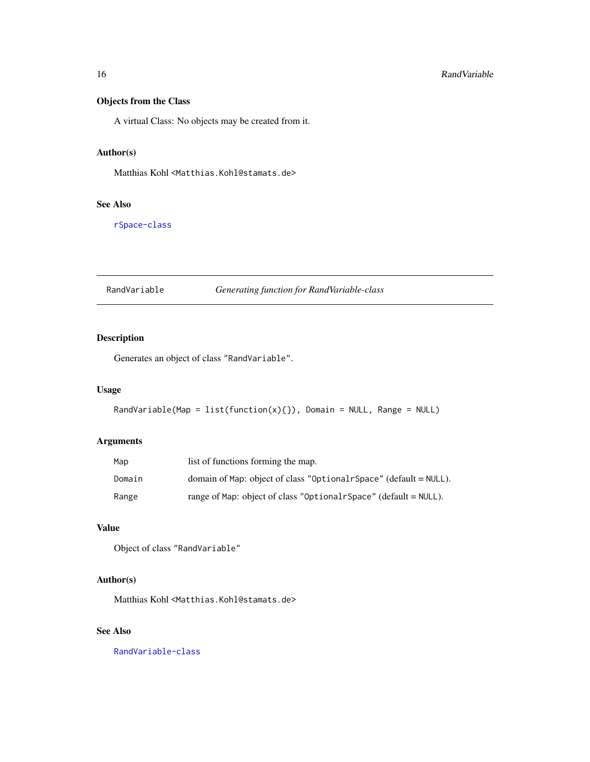# <span id="page-15-0"></span>Objects from the Class

A virtual Class: No objects may be created from it.

# Author(s)

Matthias Kohl <Matthias.Kohl@stamats.de>

# See Also

[rSpace-class](#page-0-0)

<span id="page-15-1"></span>RandVariable *Generating function for RandVariable-class*

# Description

Generates an object of class "RandVariable".

# Usage

```
RandVariable(Map = list(function(x){}), Domain = NULL, Range = NULL)
```
# Arguments

| Map    | list of functions forming the map.                                   |
|--------|----------------------------------------------------------------------|
| Domain | domain of Map: object of class "Optionalr Space" (default $=$ NULL). |
| Range  | range of Map: object of class "Optional rSpace" (default $=$ NULL).  |

# Value

Object of class "RandVariable"

# Author(s)

Matthias Kohl <Matthias.Kohl@stamats.de>

# See Also

[RandVariable-class](#page-16-1)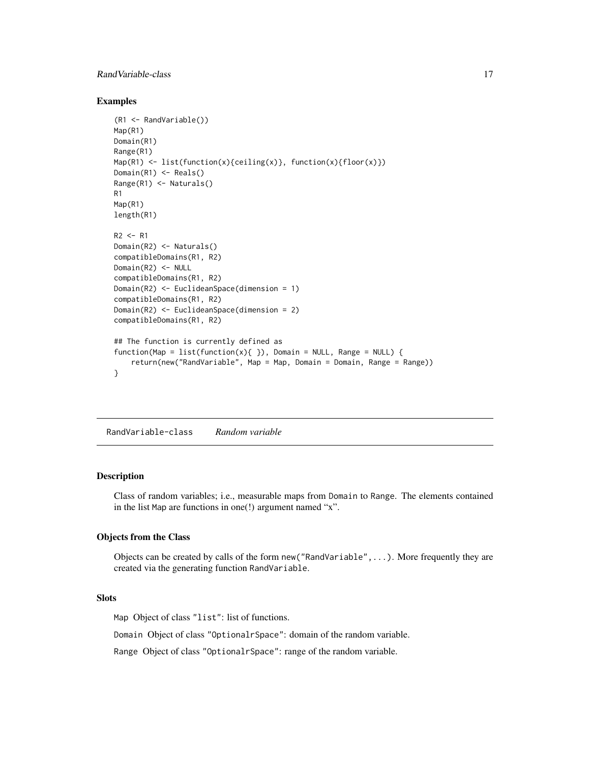# <span id="page-16-0"></span>Rand Variable-class 17

# Examples

```
(R1 <- RandVariable())
Map(R1)
Domain(R1)
Range(R1)
Map(R1) <- list(function(x){ceiling(x)}, function(x){floor(x)})
Domain(R1) <- Reals()
Range(R1) <- Naturals()
R1
Map(R1)
length(R1)
R2 < - R1Domain(R2) <- Naturals()
compatibleDomains(R1, R2)
Domain(R2) <- NULL
compatibleDomains(R1, R2)
Domain(R2) <- EuclideanSpace(dimension = 1)
compatibleDomains(R1, R2)
Domain(R2) <- EuclideanSpace(dimension = 2)
compatibleDomains(R1, R2)
## The function is currently defined as
function(Map = list(function(x){ }), Domain = NULL, Range = NULL) {
    return(new("RandVariable", Map = Map, Domain = Domain, Range = Range))
}
```
<span id="page-16-1"></span>RandVariable-class *Random variable*

#### Description

Class of random variables; i.e., measurable maps from Domain to Range. The elements contained in the list Map are functions in one(!) argument named "x".

#### Objects from the Class

Objects can be created by calls of the form new("RandVariable",...). More frequently they are created via the generating function RandVariable.

# Slots

Map Object of class "list": list of functions.

Domain Object of class "OptionalrSpace": domain of the random variable.

Range Object of class "OptionalrSpace": range of the random variable.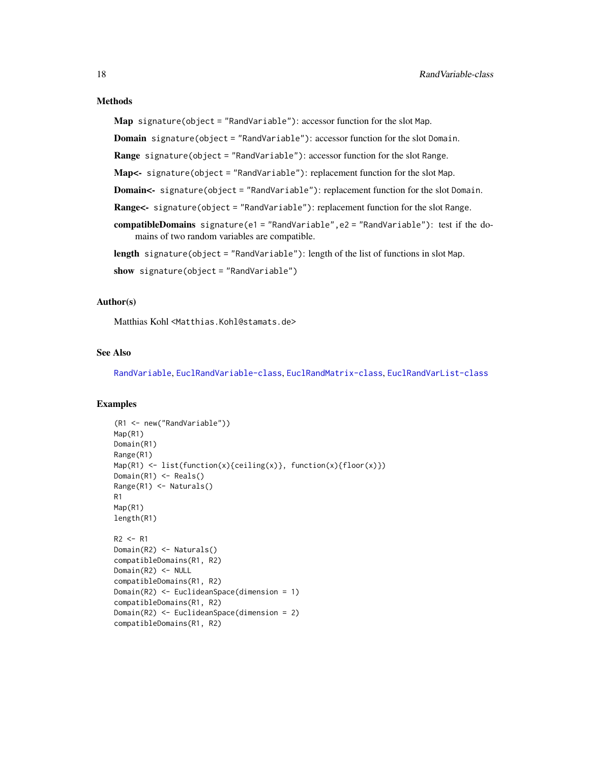# <span id="page-17-0"></span>Methods

Map signature(object = "RandVariable"): accessor function for the slot Map.

Domain signature(object = "RandVariable"): accessor function for the slot Domain.

Range signature(object = "RandVariable"): accessor function for the slot Range.

Map<- signature(object = "RandVariable"): replacement function for the slot Map.

Domain<- signature(object = "RandVariable"): replacement function for the slot Domain.

Range<- signature(object = "RandVariable"): replacement function for the slot Range.

compatibleDomains signature(e1 = "RandVariable", e2 = "RandVariable"): test if the domains of two random variables are compatible.

length signature(object = "RandVariable"): length of the list of functions in slot Map.

show signature(object = "RandVariable")

# Author(s)

Matthias Kohl <Matthias.Kohl@stamats.de>

# See Also

[RandVariable](#page-15-1), [EuclRandVariable-class](#page-8-1), [EuclRandMatrix-class](#page-3-1), [EuclRandVarList-class](#page-12-1)

```
(R1 <- new("RandVariable"))
Map(R1)
Domain(R1)
Range(R1)
Map(R1) <- list(function(x){ceiling(x)}, function(x){floor(x)})
Domain(R1) <- Reals()
Range(R1) <- Naturals()
R1
Map(R1)
length(R1)
R2 < - R1Domain(R2) <- Naturals()
compatibleDomains(R1, R2)
Domain(R2) <- NULL
compatibleDomains(R1, R2)
Domain(R2) <- EuclideanSpace(dimension = 1)
compatibleDomains(R1, R2)
Domain(R2) <- EuclideanSpace(dimension = 2)
compatibleDomains(R1, R2)
```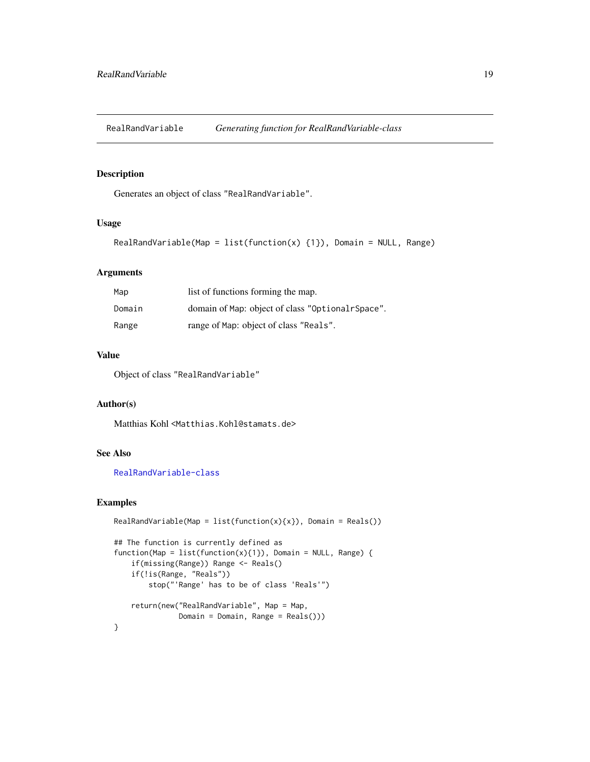<span id="page-18-0"></span>RealRandVariable *Generating function for RealRandVariable-class*

# Description

Generates an object of class "RealRandVariable".

#### Usage

```
RealRandVariable(Map = list(function(x) \{1\}), Domain = NULL, Range)
```
# Arguments

| Map    | list of functions forming the map.               |  |
|--------|--------------------------------------------------|--|
| Domain | domain of Map: object of class "OptionalrSpace". |  |
| Range  | range of Map: object of class "Reals".           |  |

# Value

Object of class "RealRandVariable"

# Author(s)

Matthias Kohl <Matthias.Kohl@stamats.de>

# See Also

[RealRandVariable-class](#page-19-1)

```
RealRandVariable(Map = list(function(x){x}), Domain = Reals())## The function is currently defined as
function(Map = list(function(x){1}), Domain = NULL, Range)if(missing(Range)) Range <- Reals()
    if(!is(Range, "Reals"))
        stop("'Range' has to be of class 'Reals'")
    return(new("RealRandVariable", Map = Map,
              Domain = Domain, Range = Reals()))
}
```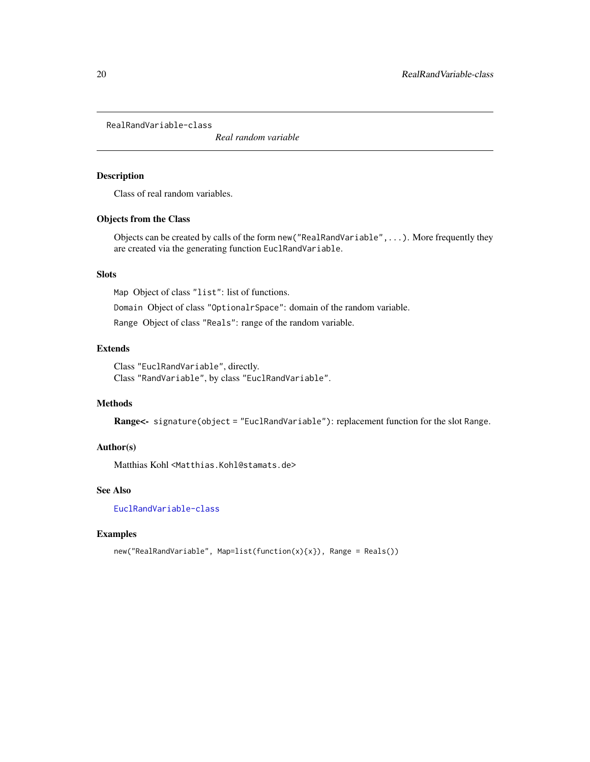<span id="page-19-1"></span><span id="page-19-0"></span>RealRandVariable-class

*Real random variable*

# Description

Class of real random variables.

# Objects from the Class

Objects can be created by calls of the form new("RealRandVariable",...). More frequently they are created via the generating function EuclRandVariable.

# Slots

Map Object of class "list": list of functions.

Domain Object of class "OptionalrSpace": domain of the random variable.

Range Object of class "Reals": range of the random variable.

# Extends

Class "EuclRandVariable", directly. Class "RandVariable", by class "EuclRandVariable".

# Methods

Range<- signature(object = "EuclRandVariable"): replacement function for the slot Range.

# Author(s)

Matthias Kohl <Matthias.Kohl@stamats.de>

# See Also

[EuclRandVariable-class](#page-8-1)

```
new("RealRandVariable", Map=list(function(x){x}), Range = Reals())
```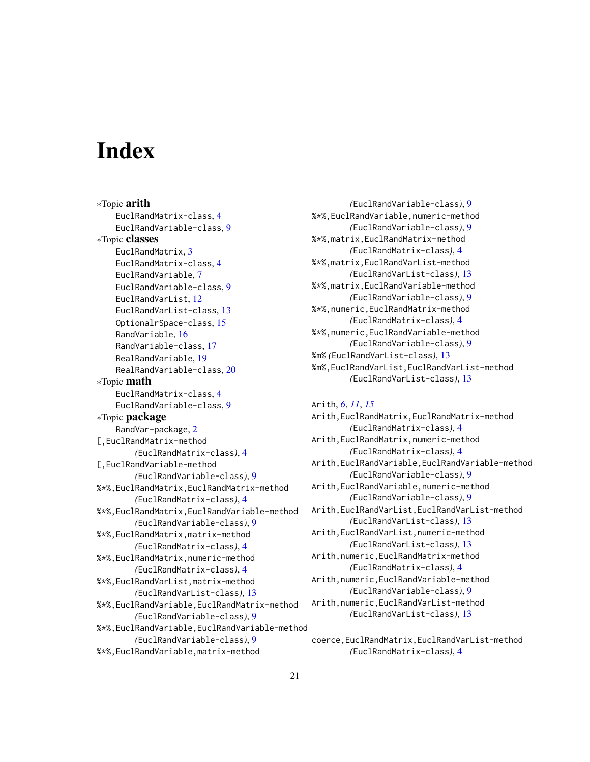# <span id="page-20-0"></span>**Index**

∗Topic arith EuclRandMatrix-class, [4](#page-3-0) EuclRandVariable-class, [9](#page-8-0) ∗Topic classes EuclRandMatrix, [3](#page-2-0) EuclRandMatrix-class, [4](#page-3-0) EuclRandVariable, [7](#page-6-0) EuclRandVariable-class, [9](#page-8-0) EuclRandVarList, [12](#page-11-0) EuclRandVarList-class, [13](#page-12-0) OptionalrSpace-class, [15](#page-14-0) RandVariable, [16](#page-15-0) RandVariable-class, [17](#page-16-0) RealRandVariable, [19](#page-18-0) RealRandVariable-class, [20](#page-19-0) ∗Topic math EuclRandMatrix-class, [4](#page-3-0) EuclRandVariable-class, [9](#page-8-0) ∗Topic package RandVar-package, [2](#page-1-0) [,EuclRandMatrix-method *(*EuclRandMatrix-class*)*, [4](#page-3-0) [,EuclRandVariable-method *(*EuclRandVariable-class*)*, [9](#page-8-0) %\*%,EuclRandMatrix,EuclRandMatrix-method *(*EuclRandMatrix-class*)*, [4](#page-3-0) %\*%,EuclRandMatrix,EuclRandVariable-method *(*EuclRandVariable-class*)*, [9](#page-8-0) %\*%,EuclRandMatrix,matrix-method *(*EuclRandMatrix-class*)*, [4](#page-3-0) %\*%,EuclRandMatrix,numeric-method *(*EuclRandMatrix-class*)*, [4](#page-3-0) %\*%,EuclRandVarList,matrix-method *(*EuclRandVarList-class*)*, [13](#page-12-0) %\*%,EuclRandVariable,EuclRandMatrix-method *(*EuclRandVariable-class*)*, [9](#page-8-0) %\*%,EuclRandVariable,EuclRandVariable-method *(*EuclRandVariable-class*)*, [9](#page-8-0) %\*%,EuclRandVariable,matrix-method

*(*EuclRandVariable-class*)*, [9](#page-8-0) %\*%,EuclRandVariable,numeric-method *(*EuclRandVariable-class*)*, [9](#page-8-0) %\*%,matrix,EuclRandMatrix-method *(*EuclRandMatrix-class*)*, [4](#page-3-0) %\*%,matrix,EuclRandVarList-method *(*EuclRandVarList-class*)*, [13](#page-12-0) %\*%,matrix,EuclRandVariable-method *(*EuclRandVariable-class*)*, [9](#page-8-0) %\*%,numeric,EuclRandMatrix-method *(*EuclRandMatrix-class*)*, [4](#page-3-0) %\*%,numeric,EuclRandVariable-method *(*EuclRandVariable-class*)*, [9](#page-8-0) %m% *(*EuclRandVarList-class*)*, [13](#page-12-0) %m%,EuclRandVarList,EuclRandVarList-method *(*EuclRandVarList-class*)*, [13](#page-12-0)

#### Arith, *[6](#page-5-0)*, *[11](#page-10-0)*, *[15](#page-14-0)*

Arith,EuclRandMatrix,EuclRandMatrix-method *(*EuclRandMatrix-class*)*, [4](#page-3-0) Arith,EuclRandMatrix,numeric-method *(*EuclRandMatrix-class*)*, [4](#page-3-0) Arith,EuclRandVariable,EuclRandVariable-method *(*EuclRandVariable-class*)*, [9](#page-8-0) Arith,EuclRandVariable,numeric-method *(*EuclRandVariable-class*)*, [9](#page-8-0) Arith,EuclRandVarList,EuclRandVarList-method *(*EuclRandVarList-class*)*, [13](#page-12-0) Arith,EuclRandVarList,numeric-method *(*EuclRandVarList-class*)*, [13](#page-12-0) Arith,numeric,EuclRandMatrix-method *(*EuclRandMatrix-class*)*, [4](#page-3-0) Arith,numeric,EuclRandVariable-method *(*EuclRandVariable-class*)*, [9](#page-8-0) Arith,numeric,EuclRandVarList-method *(*EuclRandVarList-class*)*, [13](#page-12-0)

coerce,EuclRandMatrix,EuclRandVarList-method *(*EuclRandMatrix-class*)*, [4](#page-3-0)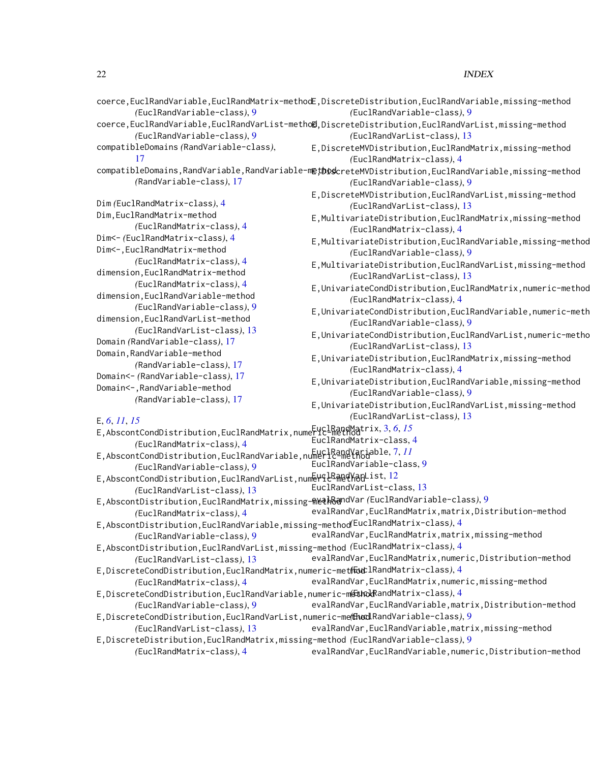# 22 INDEX

|                                                                                                        | coerce, EuclRandVariable, EuclRandMatrix-methodE, DiscreteDistribution, EuclRandVariable, missing-method                               |
|--------------------------------------------------------------------------------------------------------|----------------------------------------------------------------------------------------------------------------------------------------|
| (EuclRandVariable-class), 9                                                                            | (EuclRandVariable-class), 9                                                                                                            |
| (EuclRandVariable-class), 9                                                                            | coerce, EuclRandVariable, EuclRandVarList-metho@, DiscreteDistribution, EuclRandVarList, missing-method<br>(EuclRandVarList-class), 13 |
| compatibleDomains (RandVariable-class),                                                                | E, DiscreteMVDistribution, EuclRandMatrix, missing-method                                                                              |
| 17                                                                                                     | (EuclRandMatrix-class), 4                                                                                                              |
|                                                                                                        | compatibleDomains, RandVariable, RandVariable-methoscreteMVDistribution, EuclRandVariable, missing-method                              |
| (RandVariable-class), 17                                                                               | (EuclRandVariable-class), 9                                                                                                            |
|                                                                                                        | E, DiscreteMVDistribution, EuclRandVarList, missing-method                                                                             |
| Dim (EuclRandMatrix-class), 4                                                                          | (EuclRandVarList-class), 13                                                                                                            |
| Dim, EuclRandMatrix-method                                                                             | E, MultivariateDistribution, EuclRandMatrix, missing-method                                                                            |
| (EuclRandMatrix-class), 4                                                                              | (EuclRandMatrix-class), 4                                                                                                              |
| Dim<- (EuclRandMatrix-class), 4                                                                        | E, MultivariateDistribution, EuclRandVariable, missing-method                                                                          |
| Dim<-, EuclRandMatrix-method                                                                           | (EuclRandVariable-class), 9                                                                                                            |
| (EuclRandMatrix-class), 4                                                                              | E, MultivariateDistribution, EuclRandVarList, missing-method                                                                           |
| dimension, EuclRandMatrix-method                                                                       | (EuclRandVarList-class), 13                                                                                                            |
| (EuclRandMatrix-class), 4                                                                              | E, UnivariateCondDistribution, EuclRandMatrix, numeric-method                                                                          |
| dimension, EuclRandVariable-method                                                                     | (EuclRandMatrix-class), 4                                                                                                              |
| (EuclRandVariable-class), 9                                                                            | E, UnivariateCondDistribution, EuclRandVariable, numeric-meth                                                                          |
| dimension, EuclRandVarList-method                                                                      | (EuclRandVariable-class), 9                                                                                                            |
| (EuclRandVarList-class), 13                                                                            | E, UnivariateCondDistribution, EuclRandVarList, numeric-metho                                                                          |
| Domain (RandVariable-class), 17                                                                        | (EuclRandVarList-class), 13                                                                                                            |
| Domain, RandVariable-method                                                                            | E, UnivariateDistribution, EuclRandMatrix, missing-method                                                                              |
| (RandVariable-class), 17                                                                               | (EuclRandMatrix-class), 4                                                                                                              |
| Domain<- (RandVariable-class), 17                                                                      | E, UnivariateDistribution, EuclRandVariable, missing-method                                                                            |
| Domain<-, RandVariable-method                                                                          | (EuclRandVariable-class), 9                                                                                                            |
| (RandVariable-class), 17                                                                               |                                                                                                                                        |
|                                                                                                        | E, UnivariateDistribution, EuclRandVarList, missing-method                                                                             |
| E, 6, 11, 15                                                                                           | (EuclRandVarList-class), 13                                                                                                            |
| E, AbscontCondDistribution, EuclRandMatrix, numeric-method trix, 3, 6, 15<br>(EuclRandMatrix-class), 4 | EuclRandMatrix-class, 4                                                                                                                |
| E, AbscontCondDistribution, EuclRandVariable, numerlRandVaGiable, 7, 11                                |                                                                                                                                        |
| (EuclRandVariable-class), 9                                                                            | EuclRandVariable-class, 9                                                                                                              |
| E,AbscontCondDistribution,EuclRandVarList,num ELGRape HagList, 12                                      |                                                                                                                                        |
| (EuclRandVarList-class), 13                                                                            | EuclRandVarList-class, 13                                                                                                              |
| E, AbscontDistribution, EuclRandMatrix, missing-MethSandVar (EuclRandVariable-class), 9                |                                                                                                                                        |
| (EuclRandMatrix-class), 4                                                                              | evalRandVar, EuclRandMatrix, matrix, Distribution-method                                                                               |
| E, AbscontDistribution, EuclRandVariable, missing-method(EuclRandMatrix-class), 4                      |                                                                                                                                        |
| (EuclRandVariable-class), 9                                                                            | evalRandVar, EuclRandMatrix, matrix, missing-method                                                                                    |
| E, AbscontDistribution, EuclRandVarList, missing-method (EuclRandMatrix-class), 4                      |                                                                                                                                        |
| (EuclRandVarList-class), 13                                                                            | evalRandVar, EuclRandMatrix, numeric, Distribution-method                                                                              |
| E, DiscreteCondDistribution, EuclRandMatrix, numeric-methantlRandMatrix-class), 4                      |                                                                                                                                        |
| (EuclRandMatrix-class), 4                                                                              | evalRandVar, EuclRandMatrix, numeric, missing-method                                                                                   |
| E, DiscreteCondDistribution, EuclRandVariable, numeric-metunodRandMatrix-class), 4                     |                                                                                                                                        |
| (EuclRandVariable-class), 9                                                                            | evalRandVar, EuclRandVariable, matrix, Distribution-method                                                                             |
| E, DiscreteCondDistribution, EuclRandVarList, numeric-me(flucdLRandVariable-class), 9                  |                                                                                                                                        |
| (EuclRandVarList-class), 13                                                                            | evalRandVar, EuclRandVariable, matrix, missing-method                                                                                  |
| E, DiscreteDistribution, EuclRandMatrix, missing-method (EuclRandVariable-class), 9                    |                                                                                                                                        |
| (EuclRandMatrix-class), 4                                                                              | evalRandVar, EuclRandVariable, numeric, Distribution-method                                                                            |